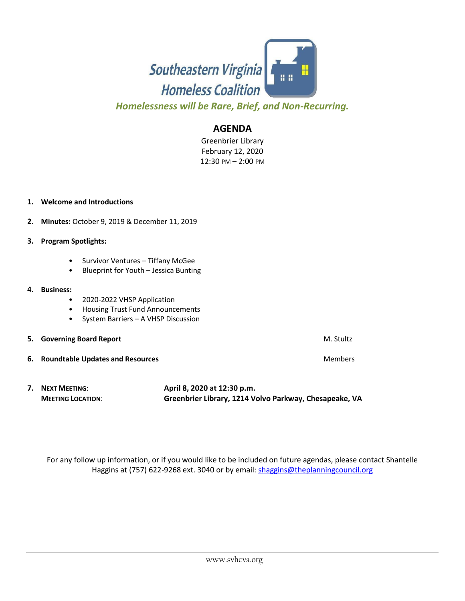

*Homelessness will be Rare, Brief, and Non-Recurring.*

## **AGENDA**

Greenbrier Library February 12, 2020 12:30 PM – 2:00 PM

## **1. Welcome and Introductions**

- **2. Minutes:** October 9, 2019 & December 11, 2019
- **3. Program Spotlights:** 
	- Survivor Ventures Tiffany McGee
	- Blueprint for Youth Jessica Bunting

## **4. Business:**

- 2020-2022 VHSP Application
- Housing Trust Fund Announcements
- System Barriers A VHSP Discussion
- **5.** Governing Board Report **M. Student Board Report** M. Stultz
- **6.** Roundtable Updates and Resources **Members** Members
- **7. NEXT MEETING**: **April 8, 2020 at 12:30 p.m. MEETING LOCATION**: **Greenbrier Library, 1214 Volvo Parkway, Chesapeake, VA**

For any follow up information, or if you would like to be included on future agendas, please contact Shantelle Haggins at (757) 622-9268 ext. 3040 or by email: [shaggins@theplanningcouncil.org](mailto:shaggins@theplanningcouncil.org)